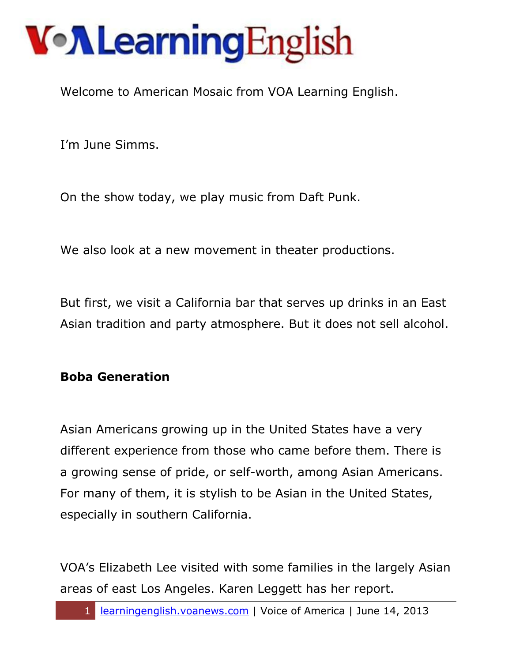Welcome to American Mosaic from VOA Learning English.

I'm June Simms.

On the show today, we play music from Daft Punk.

We also look at a new movement in theater productions.

But first, we visit a California bar that serves up drinks in an East Asian tradition and party atmosphere. But it does not sell alcohol.

#### **Boba Generation**

Asian Americans growing up in the United States have a very different experience from those who came before them. There is a growing sense of pride, or self-worth, among Asian Americans. For many of them, it is stylish to be Asian in the United States, especially in southern California.

VOA's Elizabeth Lee visited with some families in the largely Asian areas of east Los Angeles. Karen Leggett has her report.

1 learningenglish.voanews.com | Voice of America | June 14, 2013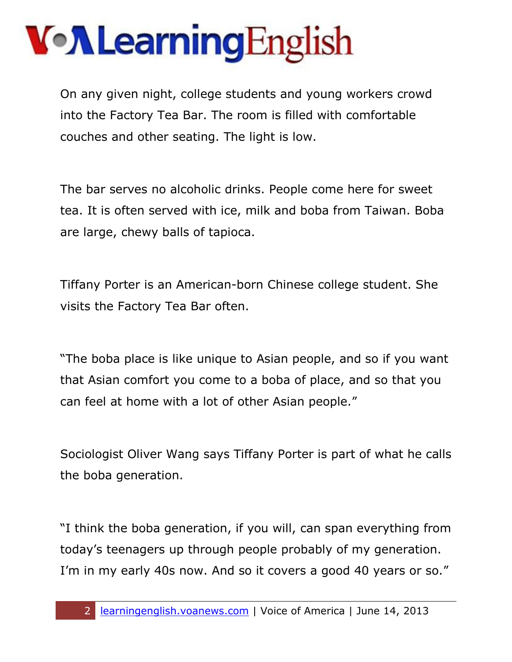### VollearningEnglish

On any given night, college students and young workers crowd into the Factory Tea Bar. The room is filled with comfortable couches and other seating. The light is low.

The bar serves no alcoholic drinks. People come here for sweet tea. It is often served with ice, milk and boba from Taiwan. Boba are large, chewy balls of tapioca.

Tiffany Porter is an American-born Chinese college student. She visits the Factory Tea Bar often.

"The boba place is like unique to Asian people, and so if you want that Asian comfort you come to a boba of place, and so that you can feel at home with a lot of other Asian people."

Sociologist Oliver Wang says Tiffany Porter is part of what he calls the boba generation.

"I think the boba generation, if you will, can span everything from today's teenagers up through people probably of my generation. I'm in my early 40s now. And so it covers a good 40 years or so."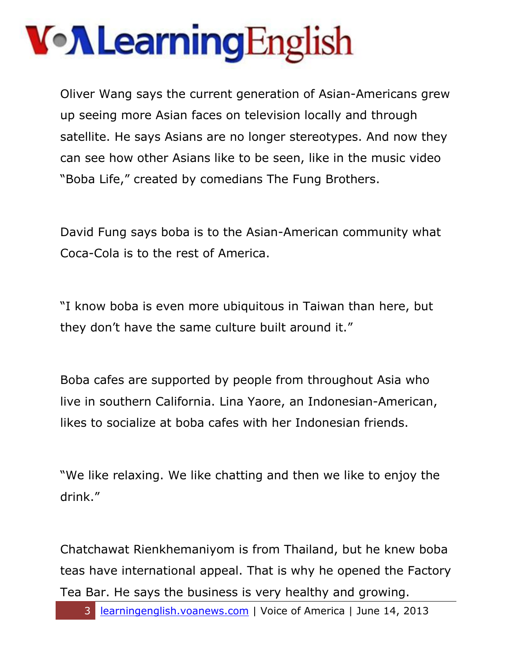# VollearningEnglish

Oliver Wang says the current generation of Asian-Americans grew up seeing more Asian faces on television locally and through satellite. He says Asians are no longer stereotypes. And now they can see how other Asians like to be seen, like in the music video "Boba Life," created by comedians The Fung Brothers.

David Fung says boba is to the Asian-American community what Coca-Cola is to the rest of America.

"I know boba is even more ubiquitous in Taiwan than here, but they don't have the same culture built around it."

Boba cafes are supported by people from throughout Asia who live in southern California. Lina Yaore, an Indonesian-American, likes to socialize at boba cafes with her Indonesian friends.

"We like relaxing. We like chatting and then we like to enjoy the drink."

Chatchawat Rienkhemaniyom is from Thailand, but he knew boba teas have international appeal. That is why he opened the Factory Tea Bar. He says the business is very healthy and growing.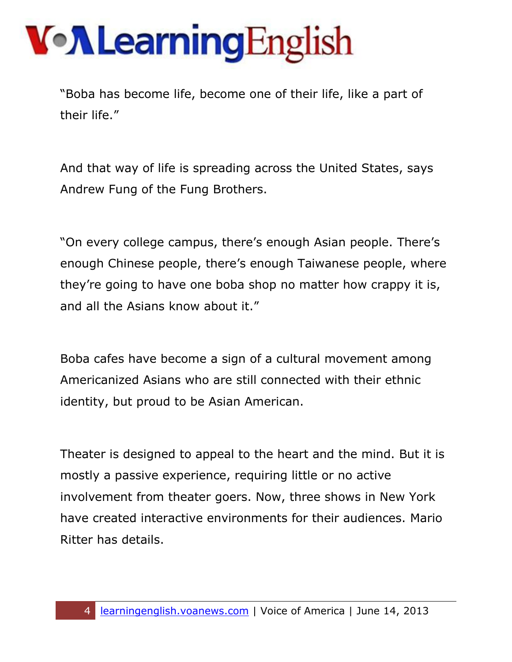"Boba has become life, become one of their life, like a part of their life."

And that way of life is spreading across the United States, says Andrew Fung of the Fung Brothers.

"On every college campus, there's enough Asian people. There's enough Chinese people, there's enough Taiwanese people, where they're going to have one boba shop no matter how crappy it is, and all the Asians know about it."

Boba cafes have become a sign of a cultural movement among Americanized Asians who are still connected with their ethnic identity, but proud to be Asian American.

Theater is designed to appeal to the heart and the mind. But it is mostly a passive experience, requiring little or no active involvement from theater goers. Now, three shows in New York have created interactive environments for their audiences. Mario Ritter has details.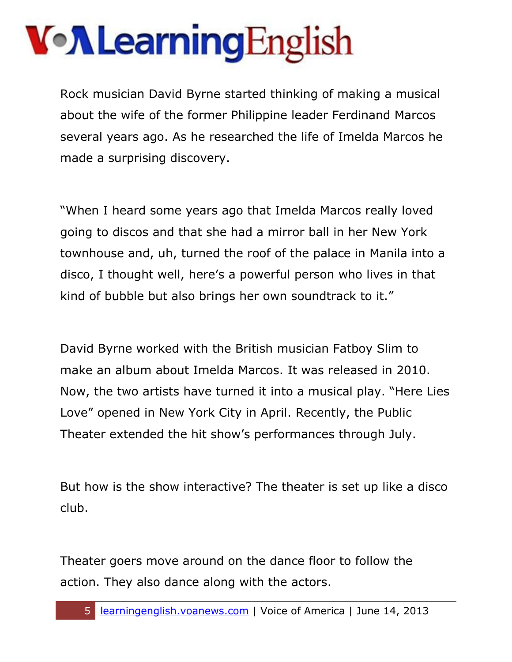Rock musician David Byrne started thinking of making a musical about the wife of the former Philippine leader Ferdinand Marcos several years ago. As he researched the life of Imelda Marcos he made a surprising discovery.

"When I heard some years ago that Imelda Marcos really loved going to discos and that she had a mirror ball in her New York townhouse and, uh, turned the roof of the palace in Manila into a disco, I thought well, here's a powerful person who lives in that kind of bubble but also brings her own soundtrack to it."

David Byrne worked with the British musician Fatboy Slim to make an album about Imelda Marcos. It was released in 2010. Now, the two artists have turned it into a musical play. "Here Lies Love" opened in New York City in April. Recently, the Public Theater extended the hit show's performances through July.

But how is the show interactive? The theater is set up like a disco club.

Theater goers move around on the dance floor to follow the action. They also dance along with the actors.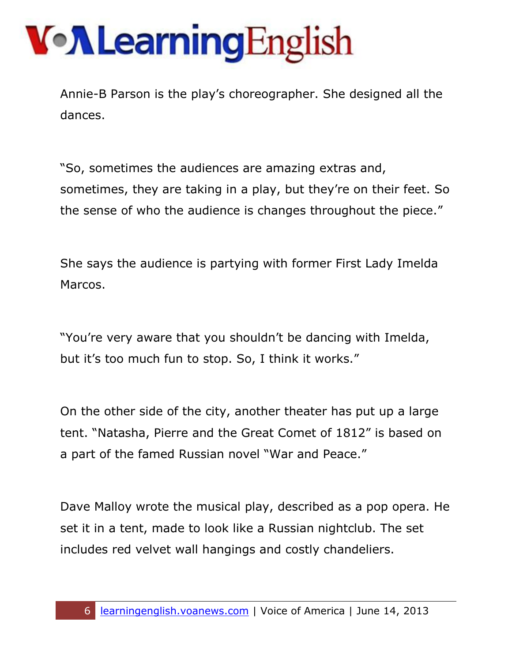Annie-B Parson is the play's choreographer. She designed all the dances.

"So, sometimes the audiences are amazing extras and, sometimes, they are taking in a play, but they're on their feet. So the sense of who the audience is changes throughout the piece."

She says the audience is partying with former First Lady Imelda Marcos.

"You're very aware that you shouldn't be dancing with Imelda, but it's too much fun to stop. So, I think it works."

On the other side of the city, another theater has put up a large tent. "Natasha, Pierre and the Great Comet of 1812" is based on a part of the famed Russian novel "War and Peace."

Dave Malloy wrote the musical play, described as a pop opera. He set it in a tent, made to look like a Russian nightclub. The set includes red velvet wall hangings and costly chandeliers.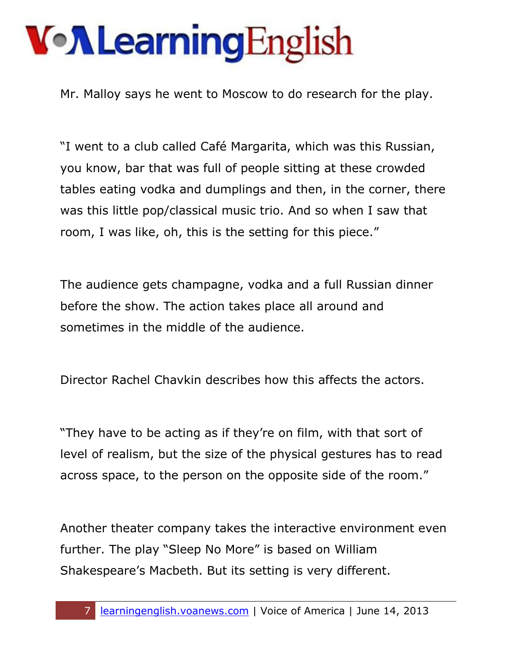# VollearningEnglish

Mr. Malloy says he went to Moscow to do research for the play.

"I went to a club called Café Margarita, which was this Russian, you know, bar that was full of people sitting at these crowded tables eating vodka and dumplings and then, in the corner, there was this little pop/classical music trio. And so when I saw that room, I was like, oh, this is the setting for this piece."

The audience gets champagne, vodka and a full Russian dinner before the show. The action takes place all around and sometimes in the middle of the audience.

Director Rachel Chavkin describes how this affects the actors.

"They have to be acting as if they're on film, with that sort of level of realism, but the size of the physical gestures has to read across space, to the person on the opposite side of the room."

Another theater company takes the interactive environment even further. The play "Sleep No More" is based on William Shakespeare's Macbeth. But its setting is very different.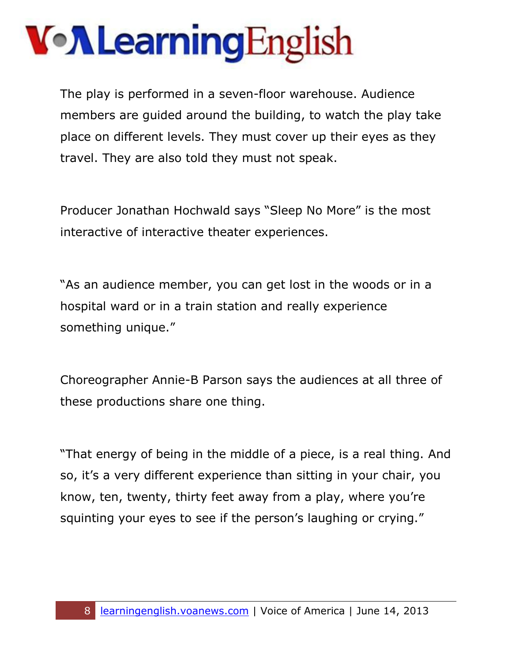The play is performed in a seven-floor warehouse. Audience members are guided around the building, to watch the play take place on different levels. They must cover up their eyes as they travel. They are also told they must not speak.

Producer Jonathan Hochwald says "Sleep No More" is the most interactive of interactive theater experiences.

"As an audience member, you can get lost in the woods or in a hospital ward or in a train station and really experience something unique."

Choreographer Annie-B Parson says the audiences at all three of these productions share one thing.

"That energy of being in the middle of a piece, is a real thing. And so, it's a very different experience than sitting in your chair, you know, ten, twenty, thirty feet away from a play, where you're squinting your eyes to see if the person's laughing or crying."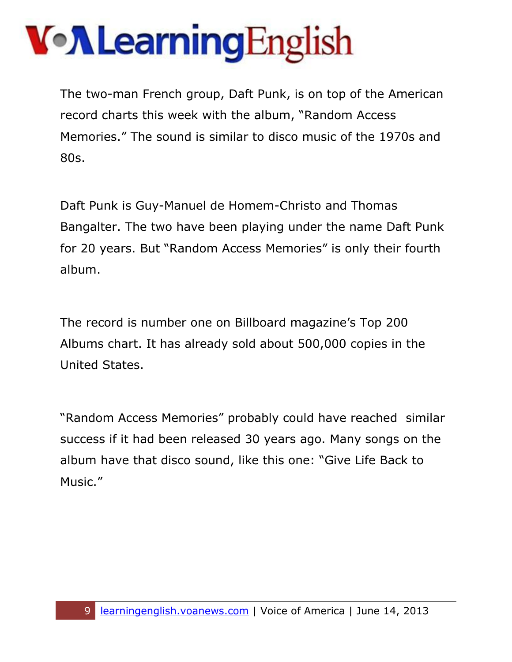The two-man French group, Daft Punk, is on top of the American record charts this week with the album, "Random Access Memories." The sound is similar to disco music of the 1970s and 80s.

Daft Punk is Guy-Manuel de Homem-Christo and Thomas Bangalter. The two have been playing under the name Daft Punk for 20 years. But "Random Access Memories" is only their fourth album.

The record is number one on Billboard magazine's Top 200 Albums chart. It has already sold about 500,000 copies in the United States.

"Random Access Memories" probably could have reached similar success if it had been released 30 years ago. Many songs on the album have that disco sound, like this one: "Give Life Back to Music."